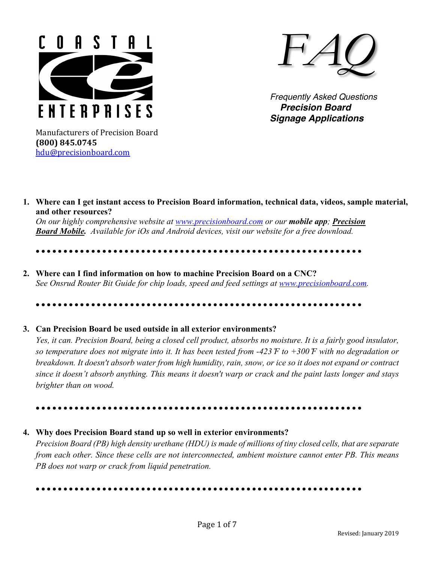



 *Frequently Asked Questions Precision Board Signage Applications*

Manufacturers of Precision Board **(800) 845.0745** hdu@precisionboard.com

**1. Where can I get instant access to Precision Board information, technical data, videos, sample material, and other resources?** 

*On our highly comprehensive website at www.precisionboard.com or our mobile app; Precision Board Mobile. Available for iOs and Android devices, visit our website for a free download.* 

• • • • • • • • • • • • • • • • • • • • • • • • • • • • • • • • • • • • • • • • • • • • • • • • • • • • • • • • • • •

**2. Where can I find information on how to machine Precision Board on a CNC?**   *See Onsrud Router Bit Guide for chip loads, speed and feed settings at www.precisionboard.com.*

• • • • • • • • • • • • • • • • • • • • • • • • • • • • • • • • • • • • • • • • • • • • • • • • • • • • • • • • • • •

## **3. Can Precision Board be used outside in all exterior environments?**

*Yes, it can. Precision Board, being a closed cell product, absorbs no moisture. It is a fairly good insulator, so temperature does not migrate into it. It has been tested from -423 ̊F to +300 ̊F with no degradation or breakdown. It doesn't absorb water from high humidity, rain, snow, or ice so it does not expand or contract since it doesn't absorb anything. This means it doesn't warp or crack and the paint lasts longer and stays brighter than on wood.*

• • • • • • • • • • • • • • • • • • • • • • • • • • • • • • • • • • • • • • • • • • • • • • • • • • • • • • • • • • •

## **4. Why does Precision Board stand up so well in exterior environments?**

*Precision Board (PB) high density urethane (HDU) is made of millions of tiny closed cells, that are separate from each other. Since these cells are not interconnected, ambient moisture cannot enter PB. This means PB does not warp or crack from liquid penetration.*

• • • • • • • • • • • • • • • • • • • • • • • • • • • • • • • • • • • • • • • • • • • • • • • • • • • • • • • • • • •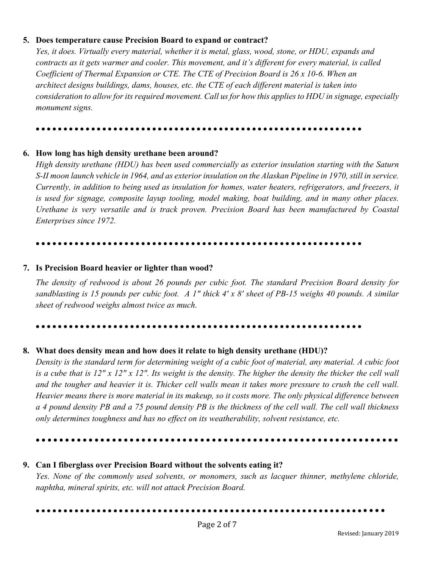## **5. Does temperature cause Precision Board to expand or contract?**

*Yes, it does. Virtually every material, whether it is metal, glass, wood, stone, or HDU, expands and contracts as it gets warmer and cooler. This movement, and it's different for every material, is called Coefficient of Thermal Expansion or CTE. The CTE of Precision Board is 26 x 10-6. When an architect designs buildings, dams, houses, etc. the CTE of each different material is taken into consideration to allow for its required movement. Call us for how this applies to HDU in signage, especially monument signs.*

### • • • • • • • • • • • • • • • • • • • • • • • • • • • • • • • • • • • • • • • • • • • • • • • • • • • • • • • • • • •

## **6. How long has high density urethane been around?**

*High density urethane (HDU) has been used commercially as exterior insulation starting with the Saturn S-II moon launch vehicle in 1964, and as exterior insulation on the Alaskan Pipeline in 1970, still in service. Currently, in addition to being used as insulation for homes, water heaters, refrigerators, and freezers, it is used for signage, composite layup tooling, model making, boat building, and in many other places. Urethane is very versatile and is track proven. Precision Board has been manufactured by Coastal Enterprises since 1972.*

### • • • • • • • • • • • • • • • • • • • • • • • • • • • • • • • • • • • • • • • • • • • • • • • • • • • • • • • • • • •

## **7. Is Precision Board heavier or lighter than wood?**

*The density of redwood is about 26 pounds per cubic foot. The standard Precision Board density for sandblasting is 15 pounds per cubic foot. A 1" thick 4' x 8' sheet of PB-15 weighs 40 pounds. A similar sheet of redwood weighs almost twice as much.*

### • • • • • • • • • • • • • • • • • • • • • • • • • • • • • • • • • • • • • • • • • • • • • • • • • • • • • • • • • • •

## **8. What does density mean and how does it relate to high density urethane (HDU)?**

*Density is the standard term for determining weight of a cubic foot of material, any material. A cubic foot is a cube that is 12" x 12" x 12". Its weight is the density. The higher the density the thicker the cell wall and the tougher and heavier it is. Thicker cell walls mean it takes more pressure to crush the cell wall. Heavier means there is more material in its makeup, so it costs more. The only physical difference between a 4 pound density PB and a 75 pound density PB is the thickness of the cell wall. The cell wall thickness only determines toughness and has no effect on its weatherability, solvent resistance, etc.*

# • • • • • • • • • • • • • • • • • • • • • • • • • • • • • • • • • • • • • • • • • • • • • • • • • • • • • • • • • • • • • •

# **9. Can I fiberglass over Precision Board without the solvents eating it?** *Yes. None of the commonly used solvents, or monomers, such as lacquer thinner, methylene chloride, naphtha, mineral spirits, etc. will not attack Precision Board.*

• • • • • • • • • • • • • • • • • • • • • • • • • • • • • • • • • • • • • • • • • • • • • • • • • • • • • • • • • • • • • • •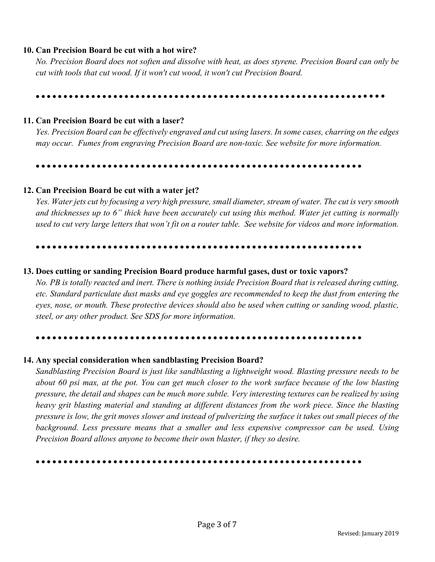# **10. Can Precision Board be cut with a hot wire?**

*No. Precision Board does not soften and dissolve with heat, as does styrene. Precision Board can only be cut with tools that cut wood. If it won't cut wood, it won't cut Precision Board.*

## • • • • • • • • • • • • • • • • • • • • • • • • • • • • • • • • • • • • • • • • • • • • • • • • • • • • • • • • • • • • • • •

# **11. Can Precision Board be cut with a laser?**

*Yes. Precision Board can be effectively engraved and cut using lasers. In some cases, charring on the edges may occur. Fumes from engraving Precision Board are non-toxic. See website for more information.*

### • • • • • • • • • • • • • • • • • • • • • • • • • • • • • • • • • • • • • • • • • • • • • • • • • • • • • • • • • • •

# **12. Can Precision Board be cut with a water jet?**

*Yes. Water jets cut by focusing a very high pressure, small diameter, stream of water. The cut is very smooth and thicknesses up to 6" thick have been accurately cut using this method. Water jet cutting is normally used to cut very large letters that won't fit on a router table. See website for videos and more information.*

### • • • • • • • • • • • • • • • • • • • • • • • • • • • • • • • • • • • • • • • • • • • • • • • • • • • • • • • • • • •

# **13. Does cutting or sanding Precision Board produce harmful gases, dust or toxic vapors?**

*No. PB is totally reacted and inert. There is nothing inside Precision Board that is released during cutting, etc. Standard particulate dust masks and eye goggles are recommended to keep the dust from entering the eyes, nose, or mouth. These protective devices should also be used when cutting or sanding wood, plastic, steel, or any other product. See SDS for more information.*

### • • • • • • • • • • • • • • • • • • • • • • • • • • • • • • • • • • • • • • • • • • • • • • • • • • • • • • • • • • •

# **14. Any special consideration when sandblasting Precision Board?**

*Sandblasting Precision Board is just like sandblasting a lightweight wood. Blasting pressure needs to be about 60 psi max, at the pot. You can get much closer to the work surface because of the low blasting pressure, the detail and shapes can be much more subtle. Very interesting textures can be realized by using heavy grit blasting material and standing at different distances from the work piece. Since the blasting pressure is low, the grit moves slower and instead of pulverizing the surface it takes out small pieces of the background. Less pressure means that a smaller and less expensive compressor can be used. Using Precision Board allows anyone to become their own blaster, if they so desire.*

## • • • • • • • • • • • • • • • • • • • • • • • • • • • • • • • • • • • • • • • • • • • • • • • • • • • • • • • • • • •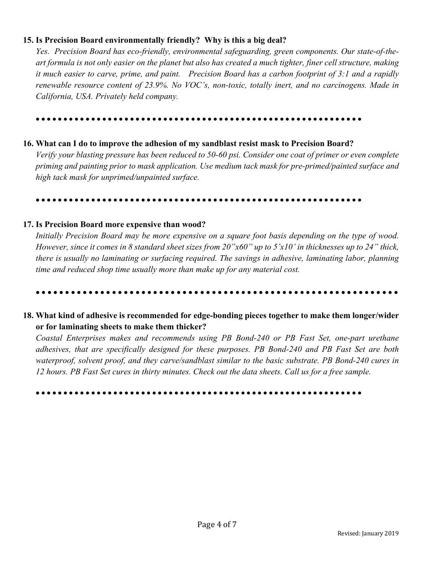# **15. Is Precision Board environmentally friendly? Why is this a big deal?**

*Yes. Precision Board has eco-friendly, environmental safeguarding, green components. Our state-of-theart formula is not only easier on the planet but also has created a much tighter, finer cell structure, making it much easier to carve, prime, and paint. Precision Board has a carbon footprint of 3:1 and a rapidly renewable resource content of 23.9%. No VOC's, non-toxic, totally inert, and no carcinogens. Made in California, USA. Privately held company.*

• • • • • • • • • • • • • • • • • • • • • • • • • • • • • • • • • • • • • • • • • • • • • • • • • • • • • • • • • • •

## **16. What can I do to improve the adhesion of my sandblast resist mask to Precision Board?**

*Verify your blasting pressure has been reduced to 50-60 psi. Consider one coat of primer or even complete priming and painting prior to mask application. Use medium tack mask for pre-primed/painted surface and high tack mask for unprimed/unpainted surface.*

#### • • • • • • • • • • • • • • • • • • • • • • • • • • • • • • • • • • • • • • • • • • • • • • • • • • • • • • • • • • •

### **17. Is Precision Board more expensive than wood?**

*Initially Precision Board may be more expensive on a square foot basis depending on the type of wood. However, since it comes in 8 standard sheet sizes from 20"x60" up to 5'x10' in thicknesses up to 24" thick, there is usually no laminating or surfacing required. The savings in adhesive, laminating labor, planning time and reduced shop time usually more than make up for any material cost.*

### • • • • • • • • • • • • • • • • • • • • • • • • • • • • • • • • • • • • • • • • • • • • • • • • • • • • • • • • • • • • • •

# **18. What kind of adhesive is recommended for edge-bonding pieces together to make them longer/wider or for laminating sheets to make them thicker?**

*Coastal Enterprises makes and recommends using PB Bond-240 or PB Fast Set, one-part urethane adhesives, that are specifically designed for these purposes. PB Bond-240 and PB Fast Set are both waterproof, solvent proof, and they carve/sandblast similar to the basic substrate. PB Bond-240 cures in 12 hours. PB Fast Set cures in thirty minutes. Check out the data sheets. Call us for a free sample.*

#### • • • • • • • • • • • • • • • • • • • • • • • • • • • • • • • • • • • • • • • • • • • • • • • • • • • • • • • • • • •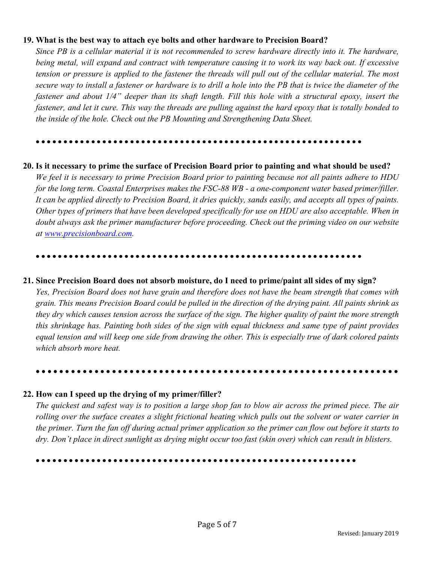## **19. What is the best way to attach eye bolts and other hardware to Precision Board?**

*Since PB is a cellular material it is not recommended to screw hardware directly into it. The hardware, being metal, will expand and contract with temperature causing it to work its way back out. If excessive tension or pressure is applied to the fastener the threads will pull out of the cellular material. The most secure way to install a fastener or hardware is to drill a hole into the PB that is twice the diameter of the fastener and about 1/4" deeper than its shaft length. Fill this hole with a structural epoxy, insert the fastener, and let it cure. This way the threads are pulling against the hard epoxy that is totally bonded to the inside of the hole. Check out the PB Mounting and Strengthening Data Sheet.*

### • • • • • • • • • • • • • • • • • • • • • • • • • • • • • • • • • • • • • • • • • • • • • • • • • • • • • • • • • • •

## **20. Is it necessary to prime the surface of Precision Board prior to painting and what should be used?**

*We feel it is necessary to prime Precision Board prior to painting because not all paints adhere to HDU for the long term. Coastal Enterprises makes the FSC-88 WB - a one-component water based primer/filler. It can be applied directly to Precision Board, it dries quickly, sands easily, and accepts all types of paints. Other types of primers that have been developed specifically for use on HDU are also acceptable. When in doubt always ask the primer manufacturer before proceeding. Check out the priming video on our website at www.precisionboard.com.*

#### • • • • • • • • • • • • • • • • • • • • • • • • • • • • • • • • • • • • • • • • • • • • • • • • • • • • • • • • • • •

### **21. Since Precision Board does not absorb moisture, do I need to prime/paint all sides of my sign?**

*Yes, Precision Board does not have grain and therefore does not have the beam strength that comes with grain. This means Precision Board could be pulled in the direction of the drying paint. All paints shrink as they dry which causes tension across the surface of the sign. The higher quality of paint the more strength this shrinkage has. Painting both sides of the sign with equal thickness and same type of paint provides equal tension and will keep one side from drawing the other. This is especially true of dark colored paints which absorb more heat.*

### • • • • • • • • • • • • • • • • • • • • • • • • • • • • • • • • • • • • • • • • • • • • • • • • • • • • • • • • • • • • • •

## **22. How can I speed up the drying of my primer/filler?**

*The quickest and safest way is to position a large shop fan to blow air across the primed piece. The air rolling over the surface creates a slight frictional heating which pulls out the solvent or water carrier in the primer. Turn the fan off during actual primer application so the primer can flow out before it starts to dry. Don't place in direct sunlight as drying might occur too fast (skin over) which can result in blisters.*

• • • • • • • • • • • • • • • • • • • • • • • • • • • • • • • • • • • • • • • • • • • • • • • • • • • • • • • • • •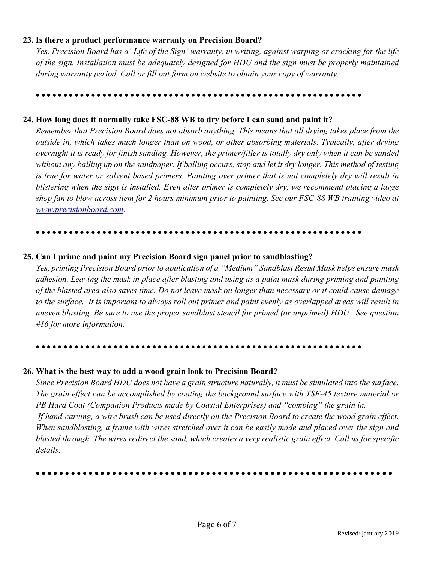## **23. Is there a product performance warranty on Precision Board?**

*Yes. Precision Board has a' Life of the Sign' warranty, in writing, against warping or cracking for the life of the sign. Installation must be adequately designed for HDU and the sign must be properly maintained during warranty period. Call or fill out form on website to obtain your copy of warranty.*

• • • • • • • • • • • • • • • • • • • • • • • • • • • • • • • • • • • • • • • • • • • • • • • • • • • • • • • • • • •

# **24. How long does it normally take FSC-88 WB to dry before I can sand and paint it?**

*Remember that Precision Board does not absorb anything. This means that all drying takes place from the outside in, which takes much longer than on wood, or other absorbing materials. Typically, after drying overnight it is ready for finish sanding. However, the primer/filler is totally dry only when it can be sanded without any balling up on the sandpaper. If balling occurs, stop and let it dry longer. This method of testing is true for water or solvent based primers. Painting over primer that is not completely dry will result in blistering when the sign is installed. Even after primer is completely dry, we recommend placing a large shop fan to blow across item for 2 hours minimum prior to painting. See our FSC-88 WB training video at www.precisionboard.com.*

### • • • • • • • • • • • • • • • • • • • • • • • • • • • • • • • • • • • • • • • • • • • • • • • • • • • • • • • • • • •

## **25. Can I prime and paint my Precision Board sign panel prior to sandblasting?**

*Yes, priming Precision Board prior to application of a "Medium" Sandblast Resist Mask helps ensure mask adhesion. Leaving the mask in place after blasting and using as a paint mask during priming and painting of the blasted area also saves time. Do not leave mask on longer than necessary or it could cause damage to the surface. It is important to always roll out primer and paint evenly as overlapped areas will result in uneven blasting. Be sure to use the proper sandblast stencil for primed (or unprimed) HDU. See question #16 for more information.*

### • • • • • • • • • • • • • • • • • • • • • • • • • • • • • • • • • • • • • • • • • • • • • • • • • • • • • • • • • • •

## **26. What is the best way to add a wood grain look to Precision Board?**

*Since Precision Board HDU does not have a grain structure naturally, it must be simulated into the surface. The grain effect can be accomplished by coating the background surface with TSF-45 texture material or PB Hard Coat (Companion Products made by Coastal Enterprises) and "combing" the grain in.* 

*If hand-carving, a wire brush can be used directly on the Precision Board to create the wood grain effect. When sandblasting, a frame with wires stretched over it can be easily made and placed over the sign and blasted through. The wires redirect the sand, which creates a very realistic grain effect. Call us for specific details.*

• • • • • • • • • • • • • • • • • • • • • • • • • • • • • • • • • • • • • • • • • • • • • • • • • • • • • • • • • • • • •